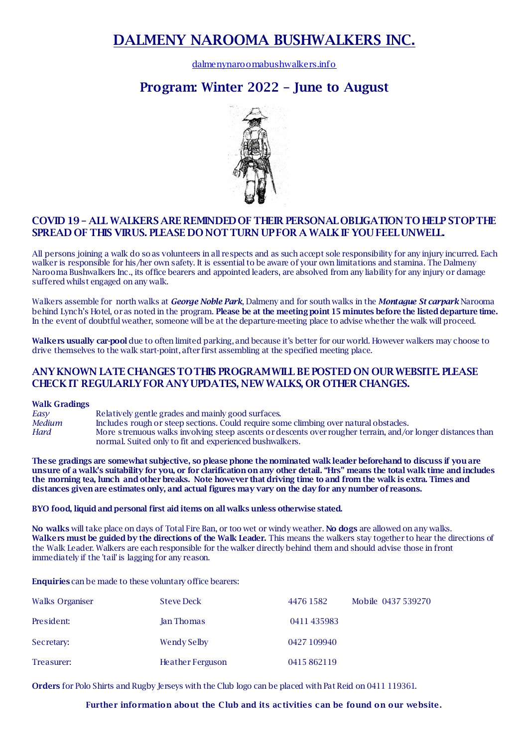# **DALMENY NAROOMA BUSHWALKERS INC.**

[dalmenynaroomabushwalkers.info](https://www.dalmenynaroomabushwalkers.info/)

# **Program: Winter 2022 – June to August**



## **COVID 19 – ALL WALKERS ARE REMINDED OF THEIR PERSONAL OBLIGATION TO HELP STOP THE SPREAD OF THIS VIRUS. PLEASE DO NOT TURN UP FOR A WALK IF YOU FEEL UNWELL.**

All persons joining a walk do so as volunteers in all respects and as such accept sole responsibility for any injury incurred. Each walker is responsible for his/her own safety. It is essential to be aware of your own limitations and stamina. The Dalmeny Narooma Bushwalkers Inc., its office bearers and appointed leaders, are absolved from any liability for any injury or damage suffered whilst engaged on any walk.

Walkers assemble for north walks at *George Noble Park*, Dalmeny and for south walks in the *Montague St carpark* Narooma behind Lynch's Hotel, or as noted in the program. **Please be at the meeting point 15 minutes before the listed departure time.**  In the event of doubtful weather, someone will be at the departure-meeting place to advise whether the walk will proceed.

**Walkers usually car-pool** due to often limited parking, and because it's better for our world. However walkers may choose to drive themselves to the walk start-point, after first assembling at the specified meeting place.

### **ANY KNOWN LATE CHANGES TO THIS PROGRAM WILL BE POSTED ON OUR WEBSITE. PLEASE CHECK IT REGULARLY FOR ANY UPDATES, NEW WALKS, OR OTHER CHANGES.**

#### **Walk Gradings**

*Easy* Relatively gentle grades and mainly good surfaces. *Medium* Includes rough or steep sections. Could require some climbing over natural obstacles. *Hard* More strenuous walks involving steep ascents or descents over rougher terrain, and/or longer distances than normal. Suited only to fit and experienced bushwalkers.

**These gradings are somewhat subjective, so please phone the nominated walk leader beforehand to discuss if you are unsure of a walk's suitability for you, or for clarification on any other detail. "Hrs" means the total walk time and includes the morning tea, lunch and other breaks. Note however that driving time to and from the walk is extra. Times and distances given are estimates only, and actual figures may vary on the day for any number of reasons.**

**BYO food, liquid and personal first aid items on all walks unless otherwise stated.**

**No walks** willtake place on days of Total Fire Ban, or too wet or windy weather. **No dogs** are allowed on any walks. **Walkers must be guided by the directions of the Walk Leader.** This means the walkers stay together to hear the directions of the Walk Leader. Walkers are each responsible for the walker directly behind them and should advise those in front immediately if the 'tail' is lagging for any reason.

**Enquiries** can be made to these voluntary office bearers:

| Walks Organiser | <b>Steve Deck</b>       | 4476 1582   | Mobile 0437 539270 |
|-----------------|-------------------------|-------------|--------------------|
| President:      | Jan Thomas              | 0411435983  |                    |
| Secretary:      | Wendy Selby             | 0427 109940 |                    |
| Treasurer:      | <b>Heather Ferguson</b> | 0415862119  |                    |

**Orders** for Polo Shirts and Rugby Jerseys with the Club logo can be placed with Pat Reid on 0411 119361.

#### **Further information about the Club and its activities can be found on our website.**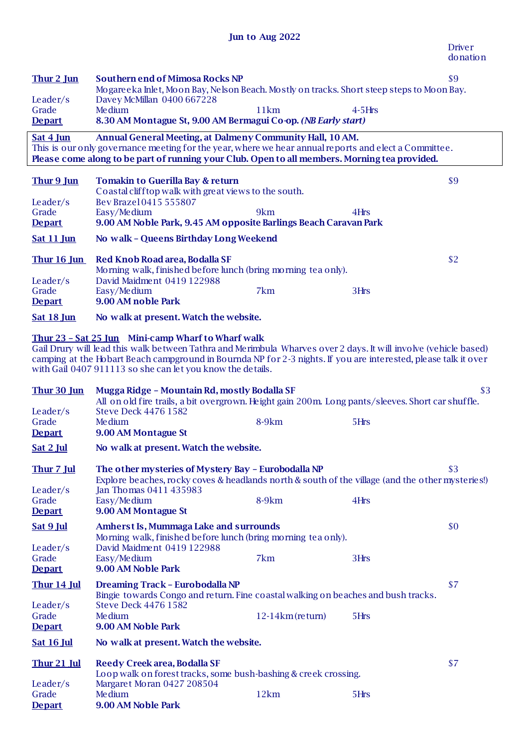| Thur 2 Jun                                                                                                                                                                                                                                                                                                                                              | <b>Southern end of Mimosa Rocks NP</b><br>Mogareeka Inlet, Moon Bay, Nelson Beach. Mostly on tracks. Short steep steps to Moon Bay.               |                    |             | \$9 |
|---------------------------------------------------------------------------------------------------------------------------------------------------------------------------------------------------------------------------------------------------------------------------------------------------------------------------------------------------------|---------------------------------------------------------------------------------------------------------------------------------------------------|--------------------|-------------|-----|
| Leader/s<br>Grade                                                                                                                                                                                                                                                                                                                                       | Davey McMillan 0400 667228<br><b>Me</b> dium                                                                                                      |                    |             |     |
| <b>Depart</b>                                                                                                                                                                                                                                                                                                                                           | 8.30 AM Montague St, 9.00 AM Bermagui Co-op. (NB Early start)                                                                                     | 11km               | $4 - 5$ Hrs |     |
| Sat 4 Jun                                                                                                                                                                                                                                                                                                                                               | Annual General Meeting, at Dalmeny Community Hall, 10 AM.                                                                                         |                    |             |     |
|                                                                                                                                                                                                                                                                                                                                                         | This is our only governance meeting for the year, where we hear annual reports and elect a Committee.                                             |                    |             |     |
|                                                                                                                                                                                                                                                                                                                                                         | Please come along to be part of running your Club. Open to all members. Morning tea provided.                                                     |                    |             |     |
| Thur 9 Jun                                                                                                                                                                                                                                                                                                                                              | <b>Tomakin to Guerilla Bay &amp; return</b><br>Coastal cliff top walk with great views to the south.                                              |                    |             | \$9 |
| Leader/s                                                                                                                                                                                                                                                                                                                                                | Bev Brazel 0415 555807                                                                                                                            |                    |             |     |
| Grade                                                                                                                                                                                                                                                                                                                                                   | Easy/Medium<br>9.00 AM Noble Park, 9.45 AM opposite Barlings Beach Caravan Park                                                                   | 9km                | 4Hrs        |     |
| <b>Depart</b>                                                                                                                                                                                                                                                                                                                                           |                                                                                                                                                   |                    |             |     |
| Sat 11 Jun                                                                                                                                                                                                                                                                                                                                              | No walk - Queens Birthday Long Weekend                                                                                                            |                    |             |     |
| Thur 16 Jun                                                                                                                                                                                                                                                                                                                                             | Red Knob Road area, Bodalla SF<br>Morning walk, finished before lunch (bring morning tea only).                                                   |                    |             | \$2 |
| Leader/s                                                                                                                                                                                                                                                                                                                                                | David Maidment 0419 122988                                                                                                                        |                    |             |     |
| Grade                                                                                                                                                                                                                                                                                                                                                   | Easy/Medium                                                                                                                                       | 7km                | 3Hrs        |     |
| <b>Depart</b>                                                                                                                                                                                                                                                                                                                                           | 9.00 AM noble Park                                                                                                                                |                    |             |     |
| <b>Sat 18 Jun</b>                                                                                                                                                                                                                                                                                                                                       | No walk at present. Watch the website.                                                                                                            |                    |             |     |
| Thur 23 - Sat 25 Jun Mini-camp Wharf to Wharf walk<br>Gail Drury will lead this walk between Tathra and Merimbula Wharves over 2 days. It will involve (vehicle based)<br>camping at the Hobart Beach campground in Bournda NP for 2-3 nights. If you are interested, please talk it over<br>with Gail 0407 911113 so she can let you know the details. |                                                                                                                                                   |                    |             |     |
| Thur 30 Jun                                                                                                                                                                                                                                                                                                                                             | Mugga Ridge - Mountain Rd, mostly Bodalla SF<br>All on old fire trails, a bit overgrown. Height gain 200m. Long pants/sleeves. Short car shuffle. |                    |             | \$3 |
| Leader/s<br>Grade                                                                                                                                                                                                                                                                                                                                       | <b>Steve Deck 4476 1582</b><br><b>Me</b> dium                                                                                                     | 8-9km              | 5Hrs        |     |
| <b>Depart</b>                                                                                                                                                                                                                                                                                                                                           | 9.00 AM Montague St                                                                                                                               |                    |             |     |
| Sat 2 Jul                                                                                                                                                                                                                                                                                                                                               | No walk at present. Watch the website.                                                                                                            |                    |             |     |
| Thur 7 Jul                                                                                                                                                                                                                                                                                                                                              | The other mysteries of Mystery Bay - Eurobodalla NP                                                                                               |                    |             | \$3 |
|                                                                                                                                                                                                                                                                                                                                                         | Explore beaches, rocky coves & headlands north & south of the village (and the other mysteries!)                                                  |                    |             |     |
| Leader/s                                                                                                                                                                                                                                                                                                                                                | Jan Thomas 0411 435983                                                                                                                            |                    |             |     |
| Grade<br><b>Depart</b>                                                                                                                                                                                                                                                                                                                                  | Easy/Medium<br>9.00 AM Montague St                                                                                                                | $8-9km$            | 4Hrs        |     |
| Sat 9 Jul                                                                                                                                                                                                                                                                                                                                               | <b>Amherst Is, Mummaga Lake and surrounds</b>                                                                                                     |                    |             | \$0 |
| Leader/s                                                                                                                                                                                                                                                                                                                                                | Morning walk, finished before lunch (bring morning tea only).<br>David Maidment 0419 122988                                                       |                    |             |     |
| Grade                                                                                                                                                                                                                                                                                                                                                   | Easy/Medium                                                                                                                                       | 7km                | 3Hrs        |     |
| <b>Depart</b>                                                                                                                                                                                                                                                                                                                                           | 9.00 AM Noble Park                                                                                                                                |                    |             |     |
| <b>Thur 14 Jul</b>                                                                                                                                                                                                                                                                                                                                      | <b>Dreaming Track - Eurobodalla NP</b><br>Bingie towards Congo and return. Fine coastal walking on beaches and bush tracks.                       |                    |             | \$7 |
| Leader/s                                                                                                                                                                                                                                                                                                                                                | <b>Steve Deck 4476 1582</b>                                                                                                                       |                    |             |     |
| Grade<br><b>Depart</b>                                                                                                                                                                                                                                                                                                                                  | <b>Me</b> dium<br>9.00 AM Noble Park                                                                                                              | $12-14km$ (return) | 5Hrs        |     |
| <b>Sat 16 Jul</b>                                                                                                                                                                                                                                                                                                                                       | No walk at present. Watch the website.                                                                                                            |                    |             |     |
|                                                                                                                                                                                                                                                                                                                                                         |                                                                                                                                                   |                    |             |     |
| $Thur 21$ Jul                                                                                                                                                                                                                                                                                                                                           | <b>Reedy Creek area, Bodalla SF</b><br>Loop walk on forest tracks, some bush-bashing & creek crossing.                                            |                    |             | \$7 |
| Leader/s<br>Grade                                                                                                                                                                                                                                                                                                                                       | Margaret Moran 0427 208504<br><b>Me</b> dium                                                                                                      | 12km               | 5Hrs        |     |
| <b>Depart</b>                                                                                                                                                                                                                                                                                                                                           | 9.00 AM Noble Park                                                                                                                                |                    |             |     |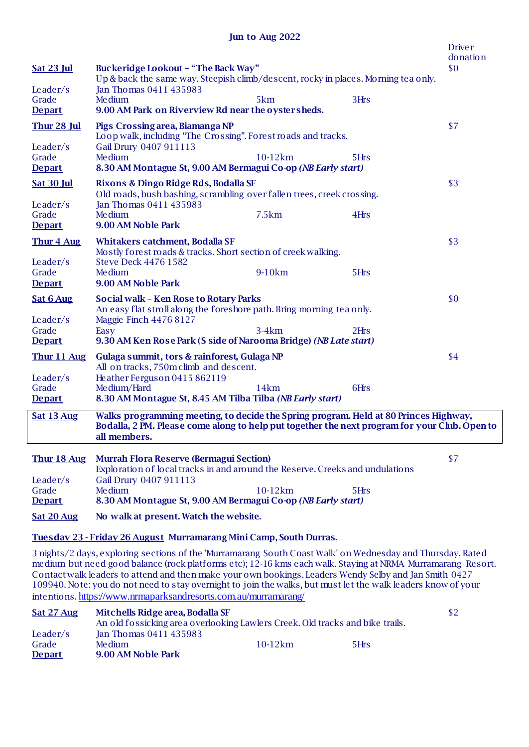| <b>Sat 23 Jul</b>                                        | <b>Buckeridge Lookout - "The Back Way"</b><br>Up & back the same way. Steepish climb/descent, rocky in places. Morning tea only.                                                                                                            |           |      | <b>Driver</b><br>donation<br>\$0 |
|----------------------------------------------------------|---------------------------------------------------------------------------------------------------------------------------------------------------------------------------------------------------------------------------------------------|-----------|------|----------------------------------|
| Leader/s<br>Grade<br><b>Depart</b>                       | Jan Thomas 0411 435983<br><b>Me</b> dium<br>9.00 AM Park on Riverview Rd near the oyster sheds.                                                                                                                                             | 5km       | 3Hrs |                                  |
| <b>Thur 28 Jul</b><br>Leader/s<br>Grade<br><b>Depart</b> | Pigs Crossing area, Biamanga NP<br>Loop walk, including "The Crossing". Forest roads and tracks.<br>Gail Drury 0407 911113<br><b>Me</b> dium<br>8.30 AM Montague St, 9.00 AM Bermagui Co-op (NB Early start)                                | 10-12km   | 5Hrs | \$7                              |
| <b>Sat 30 Jul</b><br>Leader/s<br>Grade<br><b>Depart</b>  | Rixons & Dingo Ridge Rds, Bodalla SF<br>Old roads, bush bashing, scrambling over fallen trees, creek crossing.<br>Jan Thomas 0411 435983<br><b>Me</b> dium<br>9.00 AM Noble Park                                                            | 7.5km     | 4Hrs | \$3                              |
| Thur 4 Aug<br>Leader/s<br>Grade<br><b>Depart</b>         | <b>Whitakers catchment, Bodalla SF</b><br>Mostly forest roads & tracks. Short section of creek walking.<br><b>Steve Deck 4476 1582</b><br><b>Me</b> dium<br>9.00 AM Noble Park                                                              | 9-10km    | 5Hrs | \$3                              |
| <b>Sat 6 Aug</b><br>Leader/s<br>Grade<br><b>Depart</b>   | Social walk - Ken Rose to Rotary Parks<br>An easy flat stroll along the foreshore path. Bring morning tea only.<br>Maggie Finch 4476 8127<br>Easy<br>9.30 AM Ken Rose Park (S side of Narooma Bridge) (NB Late start)                       | $3-4km$   | 2Hrs | \$0                              |
| Thur 11 Aug<br>Leader/s<br>Grade<br><b>Depart</b>        | Gulaga summit, tors & rainforest, Gulaga NP<br>All on tracks, 750m climb and descent.<br>Heather Ferguson 0415 862119<br>Medium/Hard<br>8.30 AM Montague St, 8.45 AM Tilba Tilba (NB Early start)                                           | 14km      | 6Hrs | \$4                              |
| Sat 13 Aug                                               | Walks programming meeting, to decide the Spring program. Held at 80 Princes Highway,<br>Bodalla, 2 PM. Please come along to help put together the next program for your Club. Open to<br>all members.                                       |           |      |                                  |
| Thur 18 Aug<br>Leader/s<br>Grade<br><b>Depart</b>        | <b>Murrah Flora Reserve (Bermagui Section)</b><br>Exploration of local tracks in and around the Reserve. Creeks and undulations<br>Gail Drury 0407 911113<br><b>Me</b> dium<br>8.30 AM Montague St, 9.00 AM Bermagui Co-op (NB Early start) | $10-12km$ | 5Hrs | \$7                              |
| Sat 20 Aug                                               | No walk at present. Watch the website.                                                                                                                                                                                                      |           |      |                                  |

**Tuesday 23 - Friday 26 August Murramarang Mini Camp, South Durras.**

3 nights/2 days, exploring sections of the 'Murramarang South Coast Walk' on Wednesday and Thursday. Rated medium but need good balance (rock platforms etc); 12-16 kms each walk. Staying at NRMA Murramarang Resort. Contactwalk leaders to attend and then make your own bookings. Leaders Wendy Selby and Jan Smith 0427 109940. Note: you do not need to stay overnight to join the walks, but must let the walk leaders know of your intentions. <https://www.nrmaparksandresorts.com.au/murramarang/>

| Sat 27 Aug    | Mitchells Ridge area, Bodalla SF                                              |           |      | \$2 |
|---------------|-------------------------------------------------------------------------------|-----------|------|-----|
|               | An old fossicking area overlooking Lawlers Creek. Old tracks and bike trails. |           |      |     |
| Leader/s      | <b>Jan Thomas 0411 435983</b>                                                 |           |      |     |
| Grade         | Me dium                                                                       | $10-12km$ | 5Hrs |     |
| <b>Depart</b> | 9.00 AM Noble Park                                                            |           |      |     |